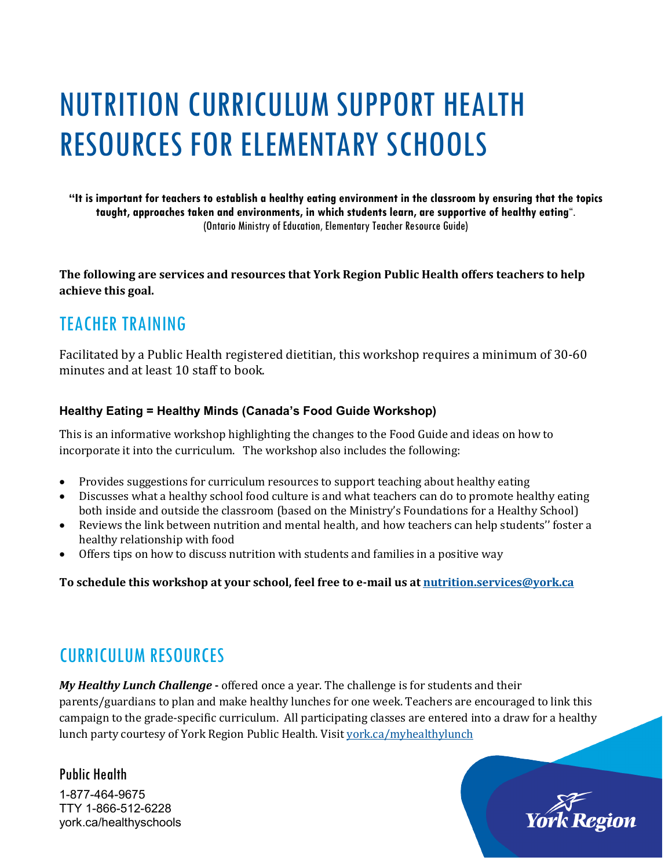# NUTRITION CURRICULUM SUPPORT HEALTH RESOURCES FOR ELEMENTARY SCHOOLS

**"It is important for teachers to establish a healthy eating environment in the classroom by ensuring that the topics taught, approaches taken and environments, in which students learn, are supportive of healthy eating**". (Ontario Ministry of Education, Elementary Teacher Resource Guide)

**The following are services and resources that York Region Public Health offers teachers to help achieve this goal.**

## TEACHER TRAINING

Facilitated by a Public Health registered dietitian, this workshop requires a minimum of 30-60 minutes and at least 10 staff to book.

#### **Healthy Eating = Healthy Minds (Canada's Food Guide Workshop)**

This is an informative workshop highlighting the changes to the Food Guide and ideas on how to incorporate it into the curriculum. The workshop also includes the following:

- Provides suggestions for curriculum resources to support teaching about healthy eating
- Discusses what a healthy school food culture is and what teachers can do to promote healthy eating both inside and outside the classroom (based on the Ministry's Foundations for a Healthy School)
- Reviews the link between nutrition and mental health, and how teachers can help students'' foster a healthy relationship with food
- Offers tips on how to discuss nutrition with students and families in a positive way

**To schedule this workshop at your school, feel free to e-mail us a[t nutrition.services@york.ca](mailto:nutrition.services@york.ca)**

## CURRICULUM RESOURCES

*[My Healthy Lunch Challenge](http://www.york.ca/myhealthylunch)* **-** offered once a year. The challenge is for students and their parents/guardians to plan and make healthy lunches for one week. Teachers are encouraged to link this campaign to the grade-specific curriculum. All participating classes are entered into a draw for a healthy lunch party courtesy of York Region Public Health. Visit [york.ca/myhealthylunch](http://www.york.ca/myhealthylunch)

### Public Health

1-877-464-9675 TTY 1-866-512-6228 york.ca/healthyschools